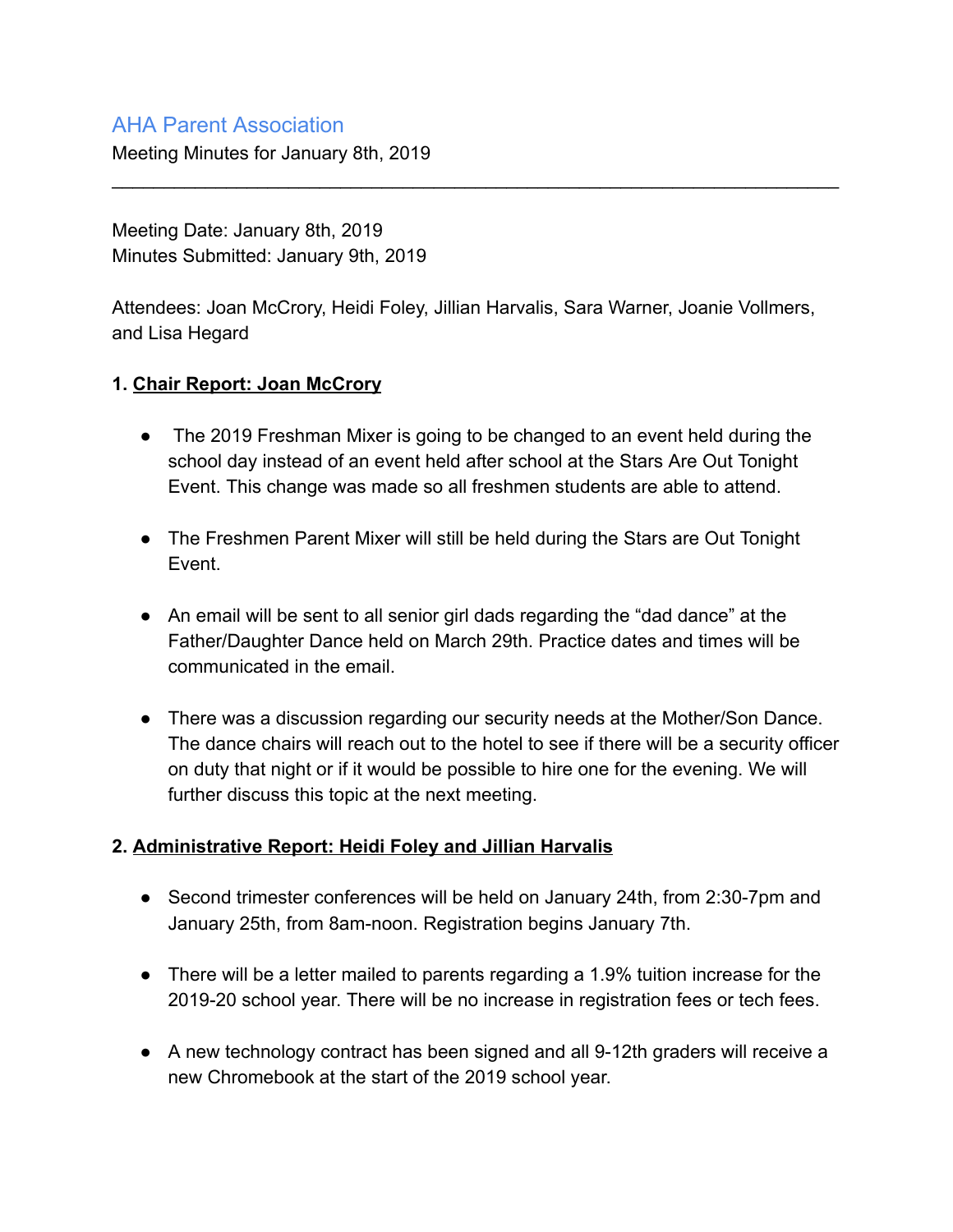# AHA Parent Association

Meeting Minutes for January 8th, 2019

Meeting Date: January 8th, 2019 Minutes Submitted: January 9th, 2019

Attendees: Joan McCrory, Heidi Foley, Jillian Harvalis, Sara Warner, Joanie Vollmers, and Lisa Hegard

\_\_\_\_\_\_\_\_\_\_\_\_\_\_\_\_\_\_\_\_\_\_\_\_\_\_\_\_\_\_\_\_\_\_\_\_\_\_\_\_\_\_\_\_\_\_\_\_\_\_\_\_\_\_\_\_\_\_\_\_\_\_\_\_\_\_\_\_\_\_

#### **1. Chair Report: Joan McCrory**

- The 2019 Freshman Mixer is going to be changed to an event held during the school day instead of an event held after school at the Stars Are Out Tonight Event. This change was made so all freshmen students are able to attend.
- The Freshmen Parent Mixer will still be held during the Stars are Out Tonight Event.
- An email will be sent to all senior girl dads regarding the "dad dance" at the Father/Daughter Dance held on March 29th. Practice dates and times will be communicated in the email.
- There was a discussion regarding our security needs at the Mother/Son Dance. The dance chairs will reach out to the hotel to see if there will be a security officer on duty that night or if it would be possible to hire one for the evening. We will further discuss this topic at the next meeting.

### **2. Administrative Report: Heidi Foley and Jillian Harvalis**

- Second trimester conferences will be held on January 24th, from 2:30-7pm and January 25th, from 8am-noon. Registration begins January 7th.
- There will be a letter mailed to parents regarding a 1.9% tuition increase for the 2019-20 school year. There will be no increase in registration fees or tech fees.
- A new technology contract has been signed and all 9-12th graders will receive a new Chromebook at the start of the 2019 school year.